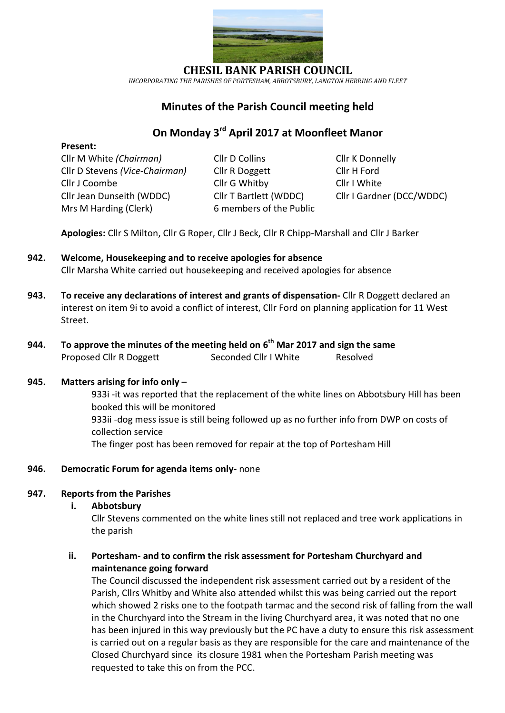

**CHESIL BANK PARISH COUNCIL** *INCORPORATING THE PARISHES OF PORTESHAM, ABBOTSBURY, LANGTON HERRING AND FLEET*

## **Minutes of the Parish Council meeting held**

# **On Monday 3 rd April 2017 at Moonfleet Manor**

**Present:**

Cllr M White *(Chairman)* Cllr D Collins Cllr K Donnelly Cllr D Stevens *(Vice-Chairman)* Cllr R Doggett Cllr H Ford Cllr J Coombe Cllr G Whitby Cllr I White Cllr Jean Dunseith (WDDC) Cllr T Bartlett (WDDC) Cllr I Gardner (DCC/WDDC) Mrs M Harding (Clerk)6 members of the Public

**Apologies:** Cllr S Milton, Cllr G Roper, Cllr J Beck, Cllr R Chipp-Marshall and Cllr J Barker

- **942. Welcome, Housekeeping and to receive apologies for absence** Cllr Marsha White carried out housekeeping and received apologies for absence
- **943. To receive any declarations of interest and grants of dispensation-** Cllr R Doggett declared an interest on item 9i to avoid a conflict of interest, Cllr Ford on planning application for 11 West Street.
- **944. To approve the minutes of the meeting held on 6 th Mar 2017 and sign the same** Proposed Cllr R Doggett Seconded Cllr I White Resolved

#### **945. Matters arising for info only –**

933i -it was reported that the replacement of the white lines on Abbotsbury Hill has been booked this will be monitored 933ii -dog mess issue is still being followed up as no further info from DWP on costs of collection service The finger post has been removed for repair at the top of Portesham Hill

#### **946. Democratic Forum for agenda items only-** none

#### **947. Reports from the Parishes**

**i. Abbotsbury**

Cllr Stevens commented on the white lines still not replaced and tree work applications in the parish

#### **ii. Portesham- and to confirm the risk assessment for Portesham Churchyard and maintenance going forward**

The Council discussed the independent risk assessment carried out by a resident of the Parish, Cllrs Whitby and White also attended whilst this was being carried out the report which showed 2 risks one to the footpath tarmac and the second risk of falling from the wall in the Churchyard into the Stream in the living Churchyard area, it was noted that no one has been injured in this way previously but the PC have a duty to ensure this risk assessment is carried out on a regular basis as they are responsible for the care and maintenance of the Closed Churchyard since its closure 1981 when the Portesham Parish meeting was requested to take this on from the PCC.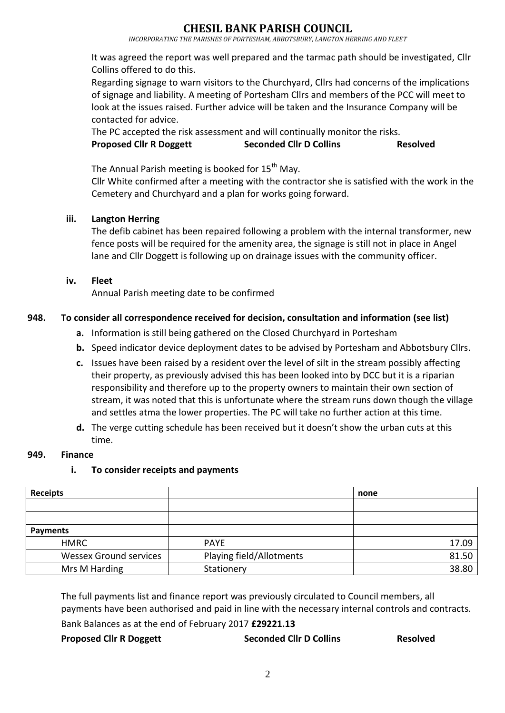## **IESIL BANK PARISH COUNCIL**

*INCORPORATING THE PARISHES OF PORTESHAM, ABBOTSBURY, LANGTON HERRING AND FLEET*

It was agreed the report was well prepared and the tarmac path should be investigated, Cllr Collins offered to do this.

Regarding signage to warn visitors to the Churchyard, Cllrs had concerns of the implications of signage and liability. A meeting of Portesham Cllrs and members of the PCC will meet to look at the issues raised. Further advice will be taken and the Insurance Company will be contacted for advice.

The PC accepted the risk assessment and will continually monitor the risks. **Proposed Cllr R Doggett Seconded Cllr D Collins Resolved**

The Annual Parish meeting is booked for 15<sup>th</sup> May.

Cllr White confirmed after a meeting with the contractor she is satisfied with the work in the Cemetery and Churchyard and a plan for works going forward.

### **iii. Langton Herring**

The defib cabinet has been repaired following a problem with the internal transformer, new fence posts will be required for the amenity area, the signage is still not in place in Angel lane and Cllr Doggett is following up on drainage issues with the community officer.

#### **iv. Fleet**

Annual Parish meeting date to be confirmed

### **948. To consider all correspondence received for decision, consultation and information (see list)**

- **a.** Information is still being gathered on the Closed Churchyard in Portesham
- **b.** Speed indicator device deployment dates to be advised by Portesham and Abbotsbury Cllrs.
- **c.** Issues have been raised by a resident over the level of silt in the stream possibly affecting their property, as previously advised this has been looked into by DCC but it is a riparian responsibility and therefore up to the property owners to maintain their own section of stream, it was noted that this is unfortunate where the stream runs down though the village and settles atma the lower properties. The PC will take no further action at this time.
- **d.** The verge cutting schedule has been received but it doesn't show the urban cuts at this time.

#### **949. Finance**

#### **i. To consider receipts and payments**

| <b>Receipts</b>               |                          | none  |
|-------------------------------|--------------------------|-------|
|                               |                          |       |
|                               |                          |       |
| <b>Payments</b>               |                          |       |
| <b>HMRC</b>                   | <b>PAYE</b>              | 17.09 |
| <b>Wessex Ground services</b> | Playing field/Allotments | 81.50 |
| Mrs M Harding                 | Stationery               | 38.80 |

The full payments list and finance report was previously circulated to Council members, all payments have been authorised and paid in line with the necessary internal controls and contracts.

Bank Balances as at the end of February 2017 **£29221.13**

# **Proposed Cllr R Doggett Seconded Cllr D Collins Resolved**